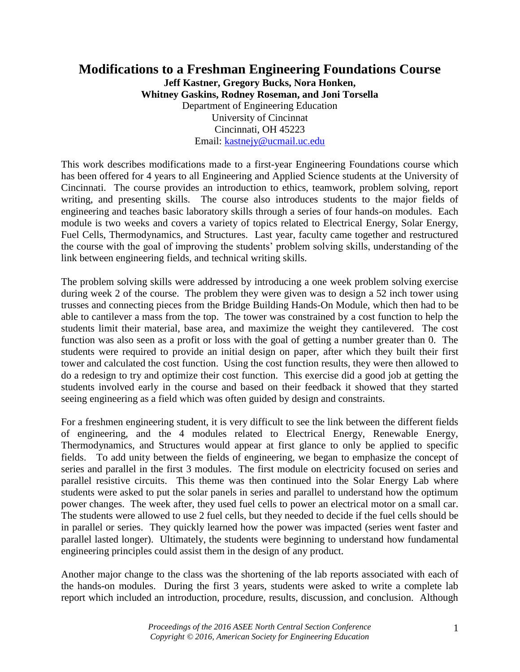## **Modifications to a Freshman Engineering Foundations Course Jeff Kastner, Gregory Bucks, Nora Honken, Whitney Gaskins, Rodney Roseman, and Joni Torsella** Department of Engineering Education University of Cincinnat Cincinnati, OH 45223 Email: [kastnejy@ucmail.uc.edu](mailto:kastnejy@ucmail.uc.edu)

This work describes modifications made to a first-year Engineering Foundations course which has been offered for 4 years to all Engineering and Applied Science students at the University of Cincinnati. The course provides an introduction to ethics, teamwork, problem solving, report writing, and presenting skills. The course also introduces students to the major fields of engineering and teaches basic laboratory skills through a series of four hands-on modules. Each module is two weeks and covers a variety of topics related to Electrical Energy, Solar Energy, Fuel Cells, Thermodynamics, and Structures. Last year, faculty came together and restructured the course with the goal of improving the students' problem solving skills, understanding of the link between engineering fields, and technical writing skills.

The problem solving skills were addressed by introducing a one week problem solving exercise during week 2 of the course. The problem they were given was to design a 52 inch tower using trusses and connecting pieces from the Bridge Building Hands-On Module, which then had to be able to cantilever a mass from the top. The tower was constrained by a cost function to help the students limit their material, base area, and maximize the weight they cantilevered. The cost function was also seen as a profit or loss with the goal of getting a number greater than 0. The students were required to provide an initial design on paper, after which they built their first tower and calculated the cost function. Using the cost function results, they were then allowed to do a redesign to try and optimize their cost function. This exercise did a good job at getting the students involved early in the course and based on their feedback it showed that they started seeing engineering as a field which was often guided by design and constraints.

For a freshmen engineering student, it is very difficult to see the link between the different fields of engineering, and the 4 modules related to Electrical Energy, Renewable Energy, Thermodynamics, and Structures would appear at first glance to only be applied to specific fields. To add unity between the fields of engineering, we began to emphasize the concept of series and parallel in the first 3 modules. The first module on electricity focused on series and parallel resistive circuits. This theme was then continued into the Solar Energy Lab where students were asked to put the solar panels in series and parallel to understand how the optimum power changes. The week after, they used fuel cells to power an electrical motor on a small car. The students were allowed to use 2 fuel cells, but they needed to decide if the fuel cells should be in parallel or series. They quickly learned how the power was impacted (series went faster and parallel lasted longer). Ultimately, the students were beginning to understand how fundamental engineering principles could assist them in the design of any product.

Another major change to the class was the shortening of the lab reports associated with each of the hands-on modules. During the first 3 years, students were asked to write a complete lab report which included an introduction, procedure, results, discussion, and conclusion. Although